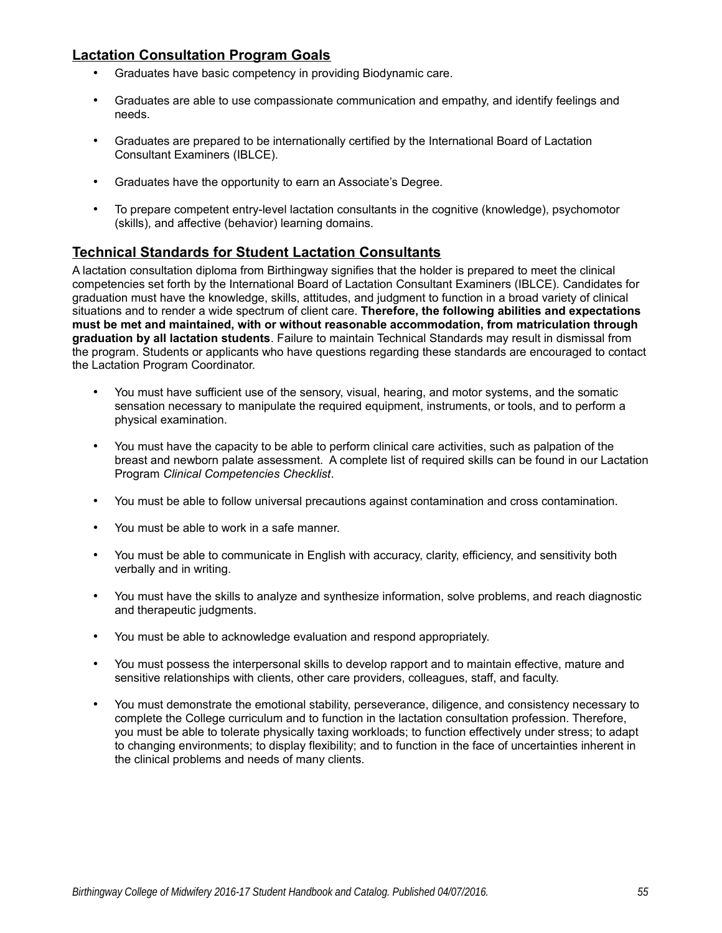## **Lactation Consultation Program Goals**

- Graduates have basic competency in providing Biodynamic care.
- Graduates are able to use compassionate communication and empathy, and identify feelings and needs.
- Graduates are prepared to be internationally certified by the International Board of Lactation Consultant Examiners (IBLCE).
- Graduates have the opportunity to earn an Associate's Degree.
- To prepare competent entry-level lactation consultants in the cognitive (knowledge), psychomotor (skills), and affective (behavior) learning domains.

### **Technical Standards for Student Lactation Consultants**

A lactation consultation diploma from Birthingway signifies that the holder is prepared to meet the clinical competencies set forth by the International Board of Lactation Consultant Examiners (IBLCE). Candidates for graduation must have the knowledge, skills, attitudes, and judgment to function in a broad variety of clinical situations and to render a wide spectrum of client care. **Therefore, the following abilities and expectations must be met and maintained, with or without reasonable accommodation, from matriculation through graduation by all lactation students**. Failure to maintain Technical Standards may result in dismissal from the program. Students or applicants who have questions regarding these standards are encouraged to contact the Lactation Program Coordinator.

- You must have sufficient use of the sensory, visual, hearing, and motor systems, and the somatic sensation necessary to manipulate the required equipment, instruments, or tools, and to perform a physical examination.
- You must have the capacity to be able to perform clinical care activities, such as palpation of the breast and newborn palate assessment. A complete list of required skills can be found in our Lactation Program *Clinical Competencies Checklist*.
- You must be able to follow universal precautions against contamination and cross contamination.
- You must be able to work in a safe manner.
- You must be able to communicate in English with accuracy, clarity, efficiency, and sensitivity both verbally and in writing.
- You must have the skills to analyze and synthesize information, solve problems, and reach diagnostic and therapeutic judgments.
- You must be able to acknowledge evaluation and respond appropriately.
- You must possess the interpersonal skills to develop rapport and to maintain effective, mature and sensitive relationships with clients, other care providers, colleagues, staff, and faculty.
- You must demonstrate the emotional stability, perseverance, diligence, and consistency necessary to complete the College curriculum and to function in the lactation consultation profession. Therefore, you must be able to tolerate physically taxing workloads; to function effectively under stress; to adapt to changing environments; to display flexibility; and to function in the face of uncertainties inherent in the clinical problems and needs of many clients.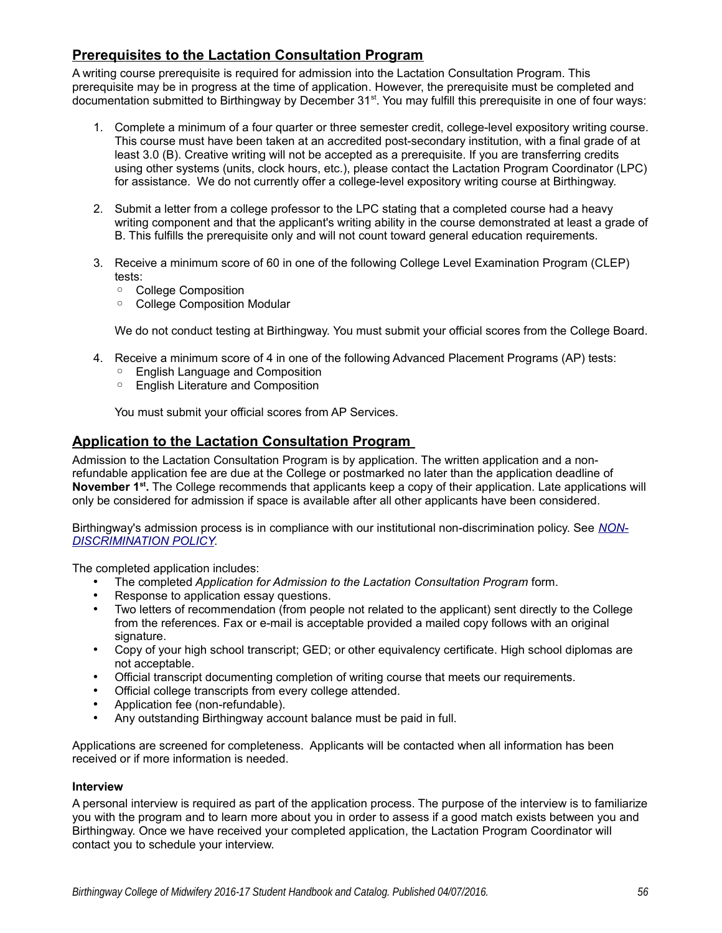# **Prerequisites to the Lactation Consultation Program**

A writing course prerequisite is required for admission into the Lactation Consultation Program. This prerequisite may be in progress at the time of application. However, the prerequisite must be completed and documentation submitted to Birthingway by December 31<sup>st</sup>. You may fulfill this prerequisite in one of four ways:

- 1. Complete a minimum of a four quarter or three semester credit, college-level expository writing course. This course must have been taken at an accredited post-secondary institution, with a final grade of at least 3.0 (B). Creative writing will not be accepted as a prerequisite. If you are transferring credits using other systems (units, clock hours, etc.), please contact the Lactation Program Coordinator (LPC) for assistance. We do not currently offer a college-level expository writing course at Birthingway.
- 2. Submit a letter from a college professor to the LPC stating that a completed course had a heavy writing component and that the applicant's writing ability in the course demonstrated at least a grade of B. This fulfills the prerequisite only and will not count toward general education requirements.
- 3. Receive a minimum score of 60 in one of the following College Level Examination Program (CLEP) tests:
	- College Composition
	- College Composition Modular

We do not conduct testing at Birthingway. You must submit your official scores from the College Board.

- 4. Receive a minimum score of 4 in one of the following Advanced Placement Programs (AP) tests:
	- English Language and Composition
	- English Literature and Composition

You must submit your official scores from AP Services.

### **Application to the Lactation Consultation Program**

Admission to the Lactation Consultation Program is by application. The written application and a nonrefundable application fee are due at the College or postmarked no later than the application deadline of **November 1st .** The College recommends that applicants keep a copy of their application. Late applications will only be considered for admission if space is available after all other applicants have been considered.

Birthingway's admission process is in compliance with our institutional non-discrimination policy. See *NON-DISCRIMINATION POLICY.*

The completed application includes:

- The completed *Application for Admission to the Lactation Consultation Program* form.
- Response to application essay questions.
- Two letters of recommendation (from people not related to the applicant) sent directly to the College from the references. Fax or e-mail is acceptable provided a mailed copy follows with an original signature.
- Copy of your high school transcript; GED; or other equivalency certificate. High school diplomas are not acceptable.
- Official transcript documenting completion of writing course that meets our requirements.
- Official college transcripts from every college attended.
- Application fee (non-refundable).
- Any outstanding Birthingway account balance must be paid in full.

Applications are screened for completeness. Applicants will be contacted when all information has been received or if more information is needed.

#### **Interview**

A personal interview is required as part of the application process. The purpose of the interview is to familiarize you with the program and to learn more about you in order to assess if a good match exists between you and Birthingway. Once we have received your completed application, the Lactation Program Coordinator will contact you to schedule your interview.